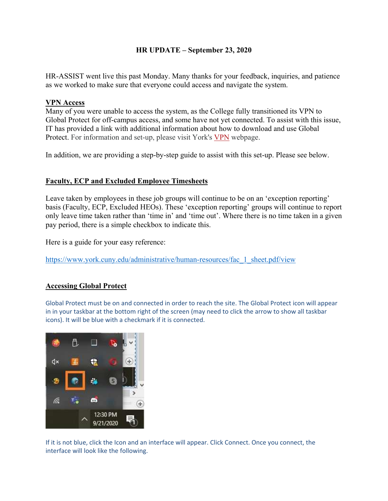## **HR UPDATE – September 23, 2020**

HR-ASSIST went live this past Monday. Many thanks for your feedback, inquiries, and patience as we worked to make sure that everyone could access and navigate the system.

## **VPN Access**

Many of you were unable to access the system, as the College fully transitioned its VPN to Global Protect for off-campus access, and some have not yet connected. To assist with this issue, IT has provided a link with additional information about how to download and use Global Protect. For information and set-up, please visit York's VPN webpage.

In addition, we are providing a step-by-step guide to assist with this set-up. Please see below.

## **Faculty, ECP and Excluded Employee Timesheets**

Leave taken by employees in these job groups will continue to be on an 'exception reporting' basis (Faculty, ECP, Excluded HEOs). These 'exception reporting' groups will continue to report only leave time taken rather than 'time in' and 'time out'. Where there is no time taken in a given pay period, there is a simple checkbox to indicate this.

Here is a guide for your easy reference:

https://www.york.cuny.edu/administrative/human-resources/fac\_1\_sheet.pdf/view

## **Accessing Global Protect**

Global Protect must be on and connected in order to reach the site. The Global Protect icon will appear in in your taskbar at the bottom right of the screen (may need to click the arrow to show all taskbar icons). It will be blue with a checkmark if it is connected.



If it is not blue, click the Icon and an interface will appear. Click Connect. Once you connect, the interface will look like the following.